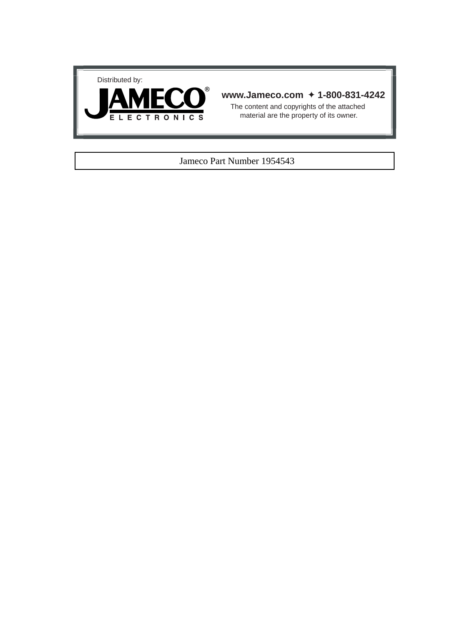



# **www.Jameco.com** ✦ **1-800-831-4242**

The content and copyrights of the attached material are the property of its owner.

#### Jameco Part Number 1954543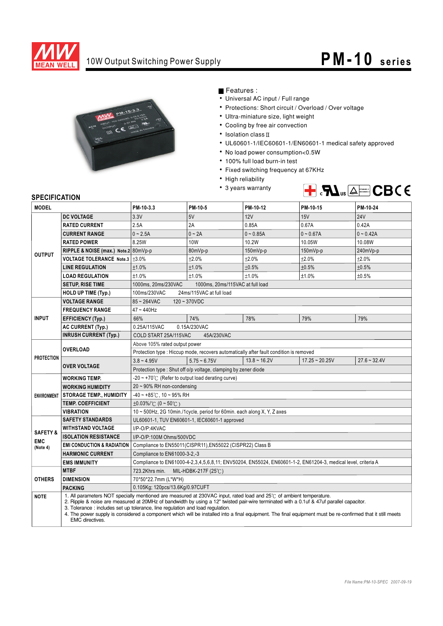

# 10W Output Switching Power Supply **PM -10** series



Features :

- Universal AC input / Full range
- Protections: Short circuit / Overload / Over voltage
- Ultra-miniature size, light weight
- Cooling by free air convection
- $\cdot$  Isolation class  $\mathbb I$
- UL60601-1/IEC60601-1/EN60601-1 medical safety approved
- No load power consumption<0.5W
- 100% full load burn-in test
- Fixed switching frequency at 67KHz
- High reliability
- 3 years warranty



#### **SPECIFICATION**

| <b>MODEL</b>        |                                       | PM-10-3.3                                                                                                                                                                                                                                                                                                                                                                                                                                                                                                      | PM-10-5                                                                 | PM-10-12                                                                                                     | PM-10-15         | PM-10-24       |  |  |
|---------------------|---------------------------------------|----------------------------------------------------------------------------------------------------------------------------------------------------------------------------------------------------------------------------------------------------------------------------------------------------------------------------------------------------------------------------------------------------------------------------------------------------------------------------------------------------------------|-------------------------------------------------------------------------|--------------------------------------------------------------------------------------------------------------|------------------|----------------|--|--|
| <b>DC VOLTAGE</b>   |                                       | 3.3V                                                                                                                                                                                                                                                                                                                                                                                                                                                                                                           | 5V                                                                      | 12V                                                                                                          | 15V              | <b>24V</b>     |  |  |
|                     | <b>RATED CURRENT</b>                  | 2.5A                                                                                                                                                                                                                                                                                                                                                                                                                                                                                                           | 2A                                                                      | 0.85A                                                                                                        | 0.67A            | 0.42A          |  |  |
|                     | <b>CURRENT RANGE</b>                  | $0 - 2.5A$                                                                                                                                                                                                                                                                                                                                                                                                                                                                                                     | $0 - 2A$                                                                | $0 - 0.85A$                                                                                                  | $0 - 0.67A$      | $0 - 0.42A$    |  |  |
|                     | <b>RATED POWER</b>                    | 8.25W                                                                                                                                                                                                                                                                                                                                                                                                                                                                                                          | <b>10W</b>                                                              | 10.2W                                                                                                        | 10.05W           | 10.08W         |  |  |
| <b>OUTPUT</b>       | RIPPLE & NOISE (max.) Note.2 80mVp-p  |                                                                                                                                                                                                                                                                                                                                                                                                                                                                                                                | 80mVp-p                                                                 | 150mVp-p                                                                                                     | 150mVp-p         | 240mVp-p       |  |  |
|                     | <b>VOLTAGE TOLERANCE Note.3</b>       | ±3.0%                                                                                                                                                                                                                                                                                                                                                                                                                                                                                                          | ±2.0%                                                                   | ±2.0%                                                                                                        | ±2.0%            | ±2.0%          |  |  |
|                     | <b>LINE REGULATION</b>                | ±1.0%                                                                                                                                                                                                                                                                                                                                                                                                                                                                                                          | $\pm 1.0\%$                                                             | ±0.5%                                                                                                        | ±0.5%            | ±0.5%          |  |  |
|                     | <b>LOAD REGULATION</b>                | ±1.0%                                                                                                                                                                                                                                                                                                                                                                                                                                                                                                          | ±1.0%                                                                   | ±1.0%                                                                                                        | ±1.0%            | ±0.5%          |  |  |
|                     | <b>SETUP, RISE TIME</b>               | 1000ms, 20ms/230VAC                                                                                                                                                                                                                                                                                                                                                                                                                                                                                            | 1000ms, 20ms/115VAC at full load                                        |                                                                                                              |                  |                |  |  |
|                     | HOLD UP TIME (Typ.)                   | 100ms/230VAC                                                                                                                                                                                                                                                                                                                                                                                                                                                                                                   | 24ms/115VAC at full load                                                |                                                                                                              |                  |                |  |  |
|                     | <b>VOLTAGE RANGE</b>                  | $85 - 264$ VAC                                                                                                                                                                                                                                                                                                                                                                                                                                                                                                 | $120 - 370VDC$                                                          |                                                                                                              |                  |                |  |  |
|                     | <b>FREQUENCY RANGE</b>                | $47 - 440$ Hz                                                                                                                                                                                                                                                                                                                                                                                                                                                                                                  |                                                                         |                                                                                                              |                  |                |  |  |
| <b>INPUT</b>        | <b>EFFICIENCY (Typ.)</b>              | 66%                                                                                                                                                                                                                                                                                                                                                                                                                                                                                                            | 74%                                                                     | 78%                                                                                                          | 79%              | 79%            |  |  |
|                     | <b>AC CURRENT (Typ.)</b>              | 0.25A/115VAC                                                                                                                                                                                                                                                                                                                                                                                                                                                                                                   | 0.15A/230VAC                                                            |                                                                                                              |                  |                |  |  |
|                     | <b>INRUSH CURRENT (Typ.)</b>          | COLD START 25A/115VAC                                                                                                                                                                                                                                                                                                                                                                                                                                                                                          | 45A/230VAC                                                              |                                                                                                              |                  |                |  |  |
|                     |                                       | Above 105% rated output power                                                                                                                                                                                                                                                                                                                                                                                                                                                                                  |                                                                         |                                                                                                              |                  |                |  |  |
|                     | <b>OVERLOAD</b>                       | Protection type : Hiccup mode, recovers automatically after fault condition is removed                                                                                                                                                                                                                                                                                                                                                                                                                         |                                                                         |                                                                                                              |                  |                |  |  |
| <b>PROTECTION</b>   |                                       | $3.8 - 4.95V$                                                                                                                                                                                                                                                                                                                                                                                                                                                                                                  | $5.75 - 6.75V$                                                          | $13.8 - 16.2V$                                                                                               | $17.25 - 20.25V$ | $27.6 - 32.4V$ |  |  |
|                     | <b>OVER VOLTAGE</b>                   | Protection type: Shut off o/p voltage, clamping by zener diode                                                                                                                                                                                                                                                                                                                                                                                                                                                 |                                                                         |                                                                                                              |                  |                |  |  |
|                     | <b>WORKING TEMP.</b>                  | $-20 \sim +70^{\circ}$ (Refer to output load derating curve)                                                                                                                                                                                                                                                                                                                                                                                                                                                   |                                                                         |                                                                                                              |                  |                |  |  |
|                     | <b>WORKING HUMIDITY</b>               | 20~90% RH non-condensing                                                                                                                                                                                                                                                                                                                                                                                                                                                                                       |                                                                         |                                                                                                              |                  |                |  |  |
| <b>ENVIRONMENT</b>  | <b>STORAGE TEMP., HUMIDITY</b>        | $-40 \sim +85^{\circ}$ C, 10 ~ 95% RH                                                                                                                                                                                                                                                                                                                                                                                                                                                                          |                                                                         |                                                                                                              |                  |                |  |  |
|                     | <b>TEMP. COEFFICIENT</b>              | $\pm 0.03\%$ /°C (0 ~ 50°C)                                                                                                                                                                                                                                                                                                                                                                                                                                                                                    |                                                                         |                                                                                                              |                  |                |  |  |
|                     | <b>VIBRATION</b>                      |                                                                                                                                                                                                                                                                                                                                                                                                                                                                                                                | 10 ~ 500Hz, 2G 10min./1cycle, period for 60min. each along X, Y, Z axes |                                                                                                              |                  |                |  |  |
|                     | <b>SAFETY STANDARDS</b>               |                                                                                                                                                                                                                                                                                                                                                                                                                                                                                                                | UL60601-1, TUV EN60601-1, IEC60601-1 approved                           |                                                                                                              |                  |                |  |  |
| <b>SAFETY &amp;</b> | <b>WITHSTAND VOLTAGE</b>              | I/P-O/P:4KVAC                                                                                                                                                                                                                                                                                                                                                                                                                                                                                                  |                                                                         |                                                                                                              |                  |                |  |  |
| <b>EMC</b>          | <b>ISOLATION RESISTANCE</b>           | I/P-O/P:100M Ohms/500VDC                                                                                                                                                                                                                                                                                                                                                                                                                                                                                       |                                                                         |                                                                                                              |                  |                |  |  |
| (Note 4)            | <b>EMI CONDUCTION &amp; RADIATION</b> |                                                                                                                                                                                                                                                                                                                                                                                                                                                                                                                | Compliance to EN55011(CISPR11), EN55022 (CISPR22) Class B               |                                                                                                              |                  |                |  |  |
|                     | <b>HARMONIC CURRENT</b>               | Compliance to EN61000-3-2,-3                                                                                                                                                                                                                                                                                                                                                                                                                                                                                   |                                                                         |                                                                                                              |                  |                |  |  |
|                     | <b>EMS IMMUNITY</b>                   |                                                                                                                                                                                                                                                                                                                                                                                                                                                                                                                |                                                                         | Compliance to EN61000-4-2,3,4,5,6,8,11; ENV50204, EN55024, EN60601-1-2, EN61204-3, medical level, criteria A |                  |                |  |  |
|                     | <b>MTBF</b>                           | 723.2Khrs min.                                                                                                                                                                                                                                                                                                                                                                                                                                                                                                 | MIL-HDBK-217F $(25^{\circ}$ C)                                          |                                                                                                              |                  |                |  |  |
| <b>OTHERS</b>       | <b>DIMENSION</b>                      | 70*50*22.7mm (L*W*H)                                                                                                                                                                                                                                                                                                                                                                                                                                                                                           |                                                                         |                                                                                                              |                  |                |  |  |
|                     | <b>PACKING</b>                        | 0.105Kg; 120pcs/13.6Kg/0.97CUFT                                                                                                                                                                                                                                                                                                                                                                                                                                                                                |                                                                         |                                                                                                              |                  |                |  |  |
| <b>NOTE</b>         | <b>EMC</b> directives.                | 1. All parameters NOT specially mentioned are measured at 230VAC input, rated load and 25°C of ambient temperature.<br>2. Ripple & noise are measured at 20MHz of bandwidth by using a 12" twisted pair-wire terminated with a 0.1uf & 47uf parallel capacitor.<br>3. Tolerance: includes set up tolerance, line regulation and load regulation.<br>4. The power supply is considered a component which will be installed into a final equipment. The final equipment must be re-confirmed that it still meets |                                                                         |                                                                                                              |                  |                |  |  |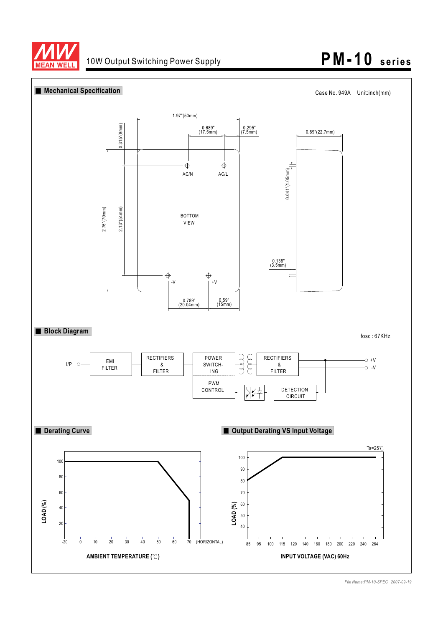

# 10W Output Switching Power Supply **PM -10** series

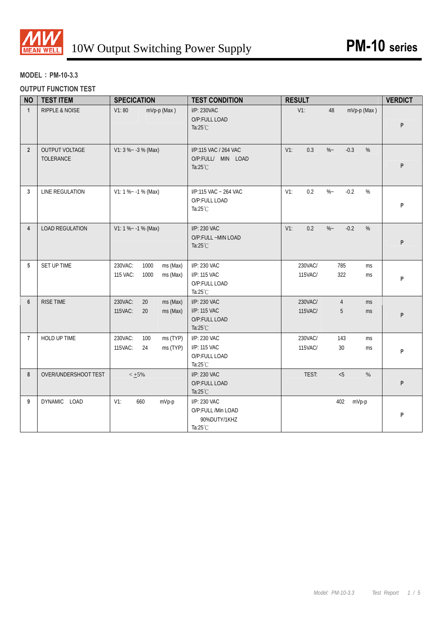

# **MODEL**:**PM-10-3.3**

# **OUTPUT FUNCTION TEST**

| <b>NO</b>      | <b>TEST ITEM</b>                   | <b>SPECICATION</b>                                          | <b>TEST CONDITION</b>                                                    | <b>RESULT</b>                                         | <b>VERDICT</b> |
|----------------|------------------------------------|-------------------------------------------------------------|--------------------------------------------------------------------------|-------------------------------------------------------|----------------|
| $\mathbf{1}$   | <b>RIPPLE &amp; NOISE</b>          | V1:80<br>mVp-p (Max)                                        | I/P: 230VAC<br>O/P:FULL LOAD<br>Ta: $25^{\circ}$ C                       | $V1$ :<br>48<br>mVp-p (Max)                           | P              |
| $\overline{2}$ | OUTPUT VOLTAGE<br><b>TOLERANCE</b> | $V1: 3 % -3 % (Max)$                                        | I/P:115 VAC / 264 VAC<br>O/P:FULL/ MIN LOAD<br>Ta: $25^{\circ}$ C        | $V1$ :<br>0.3<br>$\%$ ~<br>$-0.3$<br>%                | P              |
| 3              | LINE REGULATION                    | $V1: 1 % ~ -1 % (Max)$                                      | I/P:115 VAC ~ 264 VAC<br>O/P:FULL LOAD<br>Ta: $25^{\circ}$ C             | 0.2<br>$\%$ ~<br>$-0.2$<br>$V1$ :<br>%                | P              |
| $\overline{4}$ | <b>LOAD REGULATION</b>             | $V1: 1 % ~ -1 % (Max)$                                      | I/P: 230 VAC<br>O/P:FULL ~MIN LOAD<br>Ta: $25^{\circ}$ C                 | $V1$ :<br>0.2<br>$\%$ –<br>$-0.2$<br>$\%$             | P              |
| 5              | SET UP TIME                        | 230VAC:<br>1000<br>ms (Max)<br>115 VAC:<br>1000<br>ms (Max) | I/P: 230 VAC<br>I/P: 115 VAC<br>O/P:FULL LOAD<br>Ta: $25^{\circ}$ C      | 230VAC/<br>785<br>ms<br>322<br>115VAC/<br>ms          | P              |
| $6\phantom{1}$ | RISE TIME                          | 230VAC:<br>20<br>ms (Max)<br>115VAC:<br>20<br>ms (Max)      | I/P: 230 VAC<br>I/P: 115 VAC<br>O/P:FULL LOAD<br>Ta: $25^{\circ}$ C      | 230VAC/<br>$\overline{4}$<br>ms<br>115VAC/<br>5<br>ms | P              |
| $\overline{7}$ | HOLD UP TIME                       | 230VAC:<br>ms (TYP)<br>100<br>115VAC:<br>24<br>ms (TYP)     | I/P: 230 VAC<br>I/P: 115 VAC<br>O/P:FULL LOAD<br>Ta: $25^{\circ}$ C      | 230VAC/<br>143<br>ms<br>115VAC/<br>30<br>ms           | P              |
| 8              | OVER/UNDERSHOOT TEST               | $< +5%$                                                     | I/P: 230 VAC<br>O/P:FULL LOAD<br>Ta: $25^{\circ}$ C                      | TEST:<br>< 5<br>$\%$                                  | P              |
| 9              | DYNAMIC LOAD                       | $V1$ :<br>660<br>mVp-p                                      | I/P: 230 VAC<br>O/P:FULL /Min LOAD<br>90%DUTY/1KHZ<br>Ta: $25^{\circ}$ C | 402<br>mVp-p                                          | P              |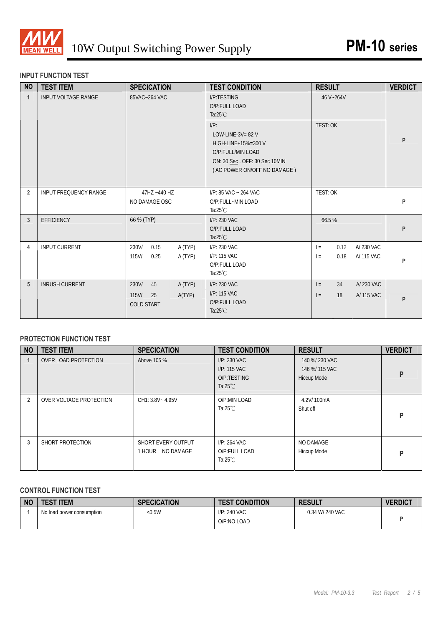

### **INPUT FUNCTION TEST**

| <b>NO</b>      | <b>TEST ITEM</b>           | <b>SPECICATION</b>                                                      | <b>TEST CONDITION</b>                                                                                                                      | <b>RESULT</b>                                          | <b>VERDICT</b> |
|----------------|----------------------------|-------------------------------------------------------------------------|--------------------------------------------------------------------------------------------------------------------------------------------|--------------------------------------------------------|----------------|
| $\overline{1}$ | <b>INPUT VOLTAGE RANGE</b> | 85VAC~264 VAC                                                           | I/P:TESTING<br>O/P:FULL LOAD<br>Ta: $25^{\circ}$ C                                                                                         | 46 V~264V                                              |                |
|                |                            |                                                                         | $I/P$ :<br>LOW-LINE-3V= $82$ V<br>HIGH-LINE+15%=300 V<br>O/P:FULL/MIN LOAD<br>ON: 30 Sec. OFF: 30 Sec 10MIN<br>(AC POWER ON/OFF NO DAMAGE) | <b>TEST: OK</b>                                        | P              |
| $\overline{2}$ | INPUT FREQUENCY RANGE      | 47HZ ~440 HZ<br>NO DAMAGE OSC                                           | I/P: 85 VAC ~ 264 VAC<br>O/P:FULL~MIN LOAD<br>Ta: $25^{\circ}$ C                                                                           | TEST: OK                                               | P              |
| 3              | <b>EFFICIENCY</b>          | 66 % (TYP)                                                              | I/P: 230 VAC<br>O/P:FULL LOAD<br>Ta: $25^{\circ}$ C                                                                                        | 66.5%                                                  | P              |
| 4              | <b>INPUT CURRENT</b>       | 230V/<br>A (TYP)<br>0.15<br>$115$ V/<br>0.25<br>A (TYP)                 | I/P: 230 VAC<br>I/P: 115 VAC<br>O/P:FULL LOAD<br>Ta: $25^{\circ}$ C                                                                        | A/ 230 VAC<br>0.12<br>$=$<br>0.18<br>A/ 115 VAC<br>$=$ | P              |
| 5              | <b>INRUSH CURRENT</b>      | 230V/<br>45<br>A (TYP)<br>A(TYP)<br>$115$ V/<br>25<br><b>COLD START</b> | I/P: 230 VAC<br>I/P: 115 VAC<br>O/P:FULL LOAD<br>Ta: $25^{\circ}$ C                                                                        | 34<br>A/230 VAC<br>$=$<br>A/ 115 VAC<br>$=$<br>18      | P              |

# **PROTECTION FUNCTION TEST**

| <b>NO</b>      | <b>TEST ITEM</b>        | <b>SPECICATION</b>                        | <b>TEST CONDITION</b>                                             | <b>RESULT</b>                                          | <b>VERDICT</b> |
|----------------|-------------------------|-------------------------------------------|-------------------------------------------------------------------|--------------------------------------------------------|----------------|
|                | OVER LOAD PROTECTION    | Above 105 %                               | I/P: 230 VAC<br>I/P: 115 VAC<br>O/P:TESTING<br>Ta: $25^{\circ}$ C | 140 %/ 230 VAC<br>146 %/ 115 VAC<br><b>Hiccup Mode</b> | P              |
| $\overline{2}$ | OVER VOLTAGE PROTECTION | CH1: 3.8V ~ 4.95V                         | O/P:MIN LOAD<br>Ta: $25^{\circ}$ C                                | 4.2V/100mA<br>Shut off                                 | P              |
| 3              | SHORT PROTECTION        | SHORT EVERY OUTPUT<br>NO DAMAGE<br>1 HOUR | I/P: 264 VAC<br>O/P:FULL LOAD<br>Ta: $25^{\circ}$ C               | NO DAMAGE<br>Hiccup Mode                               | P              |

#### **CONTROL FUNCTION TEST**

| N | <b>TEST ITEM</b>          | <b>SPECICATION</b> | <b>TEST CONDITION</b>       | <b>RESULT</b>   | <b>VERDICT</b> |
|---|---------------------------|--------------------|-----------------------------|-----------------|----------------|
|   | No load power consumption | < 0.5W             | I/P: 240 VAC<br>O/P:NO LOAD | 0.34 W/ 240 VAC |                |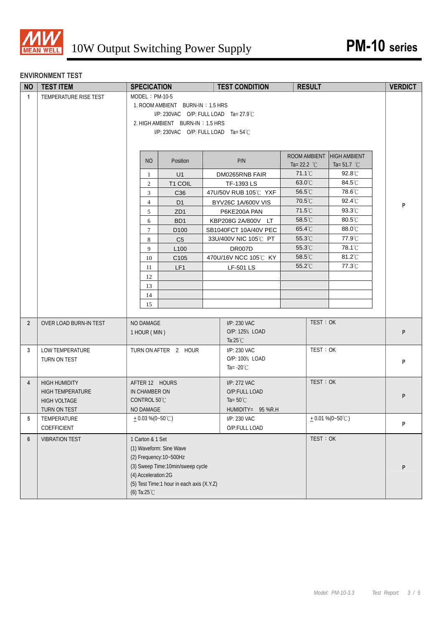

### **ENVIRONMENT TEST**

| <b>NO</b>      | <b>TEST ITEM</b>        | <b>SPECICATION</b>  |                                                 | <b>TEST CONDITION</b> |                       | <b>RESULT</b> |                            | <b>VERDICT</b> |
|----------------|-------------------------|---------------------|-------------------------------------------------|-----------------------|-----------------------|---------------|----------------------------|----------------|
| $\mathbf{1}$   | TEMPERATURE RISE TEST   | $MODEL : PM-10-5$   |                                                 |                       |                       |               |                            |                |
|                |                         |                     | 1. ROOM AMBIENT BURN-IN: 1.5 HRS                |                       |                       |               |                            |                |
|                |                         |                     | I/P: 230VAC O/P: FULL LOAD Ta= $27.9^{\circ}$ C |                       |                       |               |                            |                |
|                |                         |                     | 2. HIGH AMBIENT BURN-IN: 1.5 HRS                |                       |                       |               |                            |                |
|                |                         |                     | $I/P$ : 230VAC O/P: FULL LOAD Ta= 54°C          |                       |                       |               |                            |                |
|                |                         |                     |                                                 |                       |                       |               |                            |                |
|                |                         |                     |                                                 |                       | ROOM AMBIENT          |               | <b>HIGH AMBIENT</b>        |                |
|                |                         | <b>NO</b>           | Position                                        | P/N                   | Ta= 22.2 $^{\circ}$ C |               | Ta= 51.7 $^{\circ}$ C      |                |
|                |                         | 1                   | U1                                              | DM0265RNB FAIR        | 71.1°C                |               | $92.8^{\circ}$ C           |                |
|                |                         | $\overline{2}$      | T1 COIL                                         | TF-1393 LS            | 63.0°C                |               | 84.5℃                      |                |
|                |                         | 3                   | C36                                             | 47U/50V RUB 105℃ YXF  | 56.5°C                |               | 78.6°C                     |                |
|                |                         | $\overline{4}$      | D <sub>1</sub>                                  | BYV26C 1A/600V VIS    | 70.5°C                |               | $92.4^{\circ}$ C           | P              |
|                |                         | 5                   | ZD <sub>1</sub>                                 | P6KE200A PAN          | $71.5^{\circ}$ C      |               | 93.3°C                     |                |
|                |                         | 6                   | BD <sub>1</sub>                                 | KBP208G 2A/800V LT    | 58.5°C                |               | 80.5°C                     |                |
|                |                         | $\tau$              | D <sub>100</sub>                                | SB1040FCT 10A/40V PEC | 65.4°C                |               | 88.0°C                     |                |
|                |                         | 8                   | C <sub>5</sub>                                  | 33U/400V NIC 105℃ PT  | $55.3^{\circ}$ C      |               | 77.9°C                     |                |
|                |                         | 9                   | L <sub>100</sub>                                | <b>DR007D</b>         | 55.3°C<br>58.5°C      |               | 78.1°C<br>$81.2^{\circ}$ C |                |
|                |                         | 10                  | C <sub>105</sub>                                | 470U/16V NCC 105℃ KY  | $55.2^{\circ}$ C      |               | 77.3°C                     |                |
|                |                         | 11                  | LF <sub>1</sub>                                 | <b>LF-501 LS</b>      |                       |               |                            |                |
|                |                         | 12<br>13            |                                                 |                       |                       |               |                            |                |
|                |                         | 14                  |                                                 |                       |                       |               |                            |                |
|                |                         | 15                  |                                                 |                       |                       |               |                            |                |
|                |                         |                     |                                                 |                       |                       |               |                            |                |
| $\overline{2}$ | OVER LOAD BURN-IN TEST  | NO DAMAGE           |                                                 | I/P: 230 VAC          |                       | TEST: OK      |                            |                |
|                |                         | 1 HOUR (MIN)        |                                                 | O/P: 125% LOAD        |                       |               |                            | P              |
|                |                         |                     |                                                 | Ta: $25^{\circ}$ C    |                       |               |                            |                |
| 3              | LOW TEMPERATURE         |                     | TURN ON AFTER 2 HOUR                            | I/P: 230 VAC          |                       | TEST: OK      |                            |                |
|                | TURN ON TEST            |                     |                                                 | O/P: 100% LOAD        |                       |               |                            | P              |
|                |                         |                     |                                                 | Ta= $-20^{\circ}$ C   |                       |               |                            |                |
| $\overline{4}$ | <b>HIGH HUMIDITY</b>    | AFTER 12 HOURS      |                                                 | I/P: 272 VAC          |                       | TEST: OK      |                            |                |
|                | <b>HIGH TEMPERATURE</b> | IN CHAMBER ON       |                                                 | O/P:FULL LOAD         |                       |               |                            |                |
|                | <b>HIGH VOLTAGE</b>     | CONTROL 50°C        |                                                 | Ta= $50^{\circ}$ C    |                       |               |                            | P              |
|                | TURN ON TEST            | <b>NO DAMAGE</b>    |                                                 | HUMIDITY= 95 %R.H     |                       |               |                            |                |
| 5              | TEMPERATURE             | $+0.03\%$ (0~50°C)  |                                                 | I/P: 230 VAC          |                       |               | $+0.01\%$ (0~50°C)         | P              |
|                | COEFFICIENT             |                     |                                                 | O/P:FULL LOAD         |                       |               |                            |                |
| $6\phantom{.}$ | <b>VIBRATION TEST</b>   | 1 Carton & 1 Set    |                                                 |                       |                       | TEST: OK      |                            |                |
|                |                         |                     | (1) Waveform: Sine Wave                         |                       |                       |               |                            |                |
|                |                         |                     | (2) Frequency: 10~500Hz                         |                       |                       |               |                            |                |
|                |                         |                     | (3) Sweep Time:10min/sweep cycle                |                       |                       |               |                            | P              |
|                |                         | (4) Acceleration:2G |                                                 |                       |                       |               |                            |                |
|                |                         |                     | (5) Test Time:1 hour in each axis (X.Y.Z)       |                       |                       |               |                            |                |
|                |                         | (6) Ta:25°C         |                                                 |                       |                       |               |                            |                |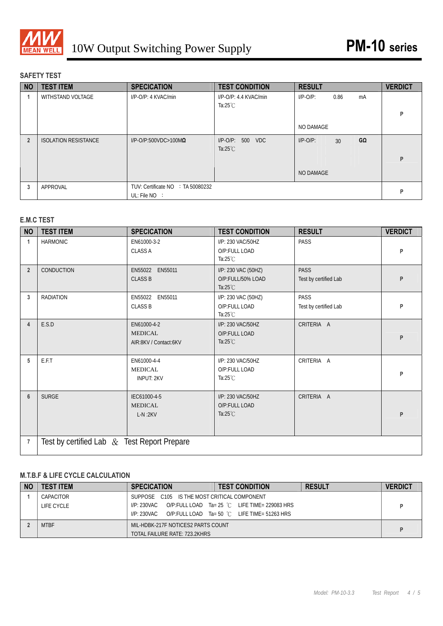

# **SAFETY TEST**

| <b>NO</b>      | <b>TEST ITEM</b>            | <b>SPECICATION</b>                                   | <b>TEST CONDITION</b>                        | <b>RESULT</b> |      |    | <b>VERDICT</b> |
|----------------|-----------------------------|------------------------------------------------------|----------------------------------------------|---------------|------|----|----------------|
|                | WITHSTAND VOLTAGE           | I/P-O/P: 4 KVAC/min                                  | I/P-O/P: 4.4 KVAC/min<br>Ta: $25^{\circ}$ C  | $I/P-O/P$ :   | 0.86 | mA | P              |
|                |                             |                                                      |                                              | NO DAMAGE     |      |    |                |
| $\overline{2}$ | <b>ISOLATION RESISTANCE</b> | $I/P$ -O/P:500VDC>100M $\Omega$                      | $I/P$ -O/P:<br>500 VDC<br>Ta: $25^{\circ}$ C | $I/P-O/P$ :   | 30   | GΩ | P              |
|                |                             |                                                      |                                              | NO DAMAGE     |      |    |                |
| 3              | APPROVAL                    | TUV: Certificate NO : TA 50080232<br>UL: File $NO$ : |                                              |               |      |    | P              |

# **E.M.C TEST**

| <b>NO</b>      | <b>TEST ITEM</b>                              | <b>SPECICATION</b>                                     | <b>TEST CONDITION</b>                                          | <b>RESULT</b>                        | <b>VERDICT</b> |
|----------------|-----------------------------------------------|--------------------------------------------------------|----------------------------------------------------------------|--------------------------------------|----------------|
| 1              | <b>HARMONIC</b>                               | EN61000-3-2<br><b>CLASS A</b>                          | I/P: 230 VAC/50HZ<br>O/P:FULL LOAD<br>Ta: $25^{\circ}$ C       | PASS                                 | P              |
| $\overline{2}$ | <b>CONDUCTION</b>                             | EN55022 EN55011<br><b>CLASS B</b>                      | I/P: 230 VAC (50HZ)<br>O/P:FULL/50% LOAD<br>Ta: $25^{\circ}$ C | <b>PASS</b><br>Test by certified Lab | P              |
| 3              | <b>RADIATION</b>                              | EN55022 EN55011<br><b>CLASS B</b>                      | I/P: 230 VAC (50HZ)<br>O/P:FULL LOAD<br>Ta: $25^{\circ}$ C     | PASS<br>Test by certified Lab        | P              |
| $\overline{4}$ | E.S.D                                         | EN61000-4-2<br><b>MEDICAL</b><br>AIR:8KV / Contact:6KV | I/P: 230 VAC/50HZ<br>O/P:FULL LOAD<br>Ta: $25^{\circ}$ C       | CRITERIA A                           | P              |
| 5              | E.F.T                                         | EN61000-4-4<br><b>MEDICAL</b><br><b>INPUT: 2KV</b>     | I/P: 230 VAC/50HZ<br>O/P:FULL LOAD<br>Ta: $25^{\circ}$ C       | CRITERIA A                           | P              |
| 6              | <b>SURGE</b>                                  | IEC61000-4-5<br><b>MEDICAL</b><br>$L-N:2KV$            | I/P: 230 VAC/50HZ<br>O/P:FULL LOAD<br>Ta: $25^{\circ}$ C       | CRITERIA A                           | P              |
| $\overline{7}$ | Test by certified Lab $&$ Test Report Prepare |                                                        |                                                                |                                      |                |

# **M.T.B.F & LIFE CYCLE CALCULATION**

| <b>NO</b> | <b>TEST ITEM</b> | <b>SPECICATION</b>                          | <b>TEST CONDITION</b>                                  | <b>RESULT</b> | <b>VERDICT</b> |
|-----------|------------------|---------------------------------------------|--------------------------------------------------------|---------------|----------------|
|           | CAPACITOR        | SUPPOSE C105 IS THE MOST CRITICAL COMPONENT |                                                        |               |                |
|           | LIFE CYCLE       | I/P: 230VAC                                 | O/P:FULL LOAD Ta= 25 °C LIFE TIME= 229083 HRS          |               |                |
|           |                  | I/P: 230VAC                                 | O/P:FULL LOAD Ta= 50 $^{\circ}$ C LIFE TIME= 51263 HRS |               |                |
|           | <b>MTBF</b>      | MIL-HDBK-217F NOTICES2 PARTS COUNT          |                                                        |               |                |
|           |                  | TOTAL FAILURE RATE: 723.2KHRS               |                                                        |               |                |